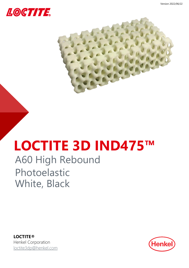



# **LOCTITE 3D IND475™**

# A60 High Rebound Photoelastic White, Black

**LOCTITE®** Henkel Corporation [loctite3dp@henkel.com](mailto:loctite3dp@henkel.com)

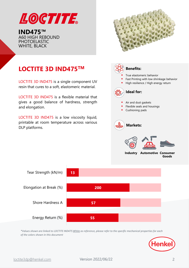

**IND475™** A60 HIGH REBOUND PHOTOELASTIC WHITE, BLACK



### **Industry Automotive Consumer Goods LOCTITE 3D IND475TM** LOCTITE 3D IND475 is a single component UV resin that cures to a soft, elastomeric material. LOCTITE 3D IND475 is a flexible material that gives a good balance of hardness, strength and elongation. LOCTITE 3D IND475 is a low viscosity liquid, printable at room temperature across various DLP platforms. **Benefits:**  True elastomeric behavior Fast Printing with low shrinkage behavior High resilience / High energy return **Ideal for:** Air and dust gaskets Flexible seals and housings Cushioning pads **Markets: 55 57 200 13** Energy Return (%) Shore Hardness A Elongation at Break (%) Tear Strength (kN/m)

*\*Values shown are linked to LOCTITE IND475 White as reference, please refer to the specific mechanical properties for each of the colors shown in this document*

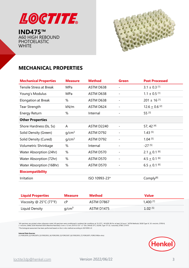

**IND475™** A60 HIGH REBOUND PHOTOELASTIC **WHITE** 



# **MECHANICAL PROPERTIES**

| <b>Mechanical Properties</b>   | <b>Measure</b>    | <b>Method</b> | <b>Green</b> | <b>Post Processed</b>         |
|--------------------------------|-------------------|---------------|--------------|-------------------------------|
| <b>Tensile Stress at Break</b> | MPa               | ASTM D638     |              | $3.1 \pm 0.3$ [1]             |
| Young's Modulus                | MPa               | ASTM D638     |              | $1.1 \pm 0.5$ [1]             |
| <b>Elongation at Break</b>     | %                 | ASTM D638     |              | $201 \pm 16$ [1]              |
| <b>Tear Strength</b>           | kN/m              | ASTM D624     |              | $12.6 \pm 0.6$ <sup>[2]</sup> |
| <b>Energy Return</b>           | %                 | Internal      |              | 55 [3]                        |
| <b>Other Properties</b>        |                   |               |              |                               |
| Shore Hardness (0s, 5s)        | A                 | ASTM D2240    |              | 57, 42 [4]                    |
| Solid Density (Green)          | g/cm <sup>3</sup> | ASTM D792     |              | $1.43$ [5]                    |
| Solid Density (Cured)          | q/cm <sup>3</sup> | ASTM D792     |              | $1.04$ <sup>[5]</sup>         |
| Volumetric Shrinkage           | %                 | Internal      |              | $-27$ [5]                     |
| Water Absorption (24hr)        | %                 | ASTM D570     | -            | $2.1 \pm 0.1$ [6]             |
| Water Absorption (72hr)        | %                 | ASTM D570     |              | $4.5 + 0.1$ [6]               |
| Water Absorption (168hr)       | %                 | ASTM D570     |              | $6.5 \pm 0.1$ [6]             |
| <b>Biocompatibility</b>        |                   |               |              |                               |
| Irritation                     |                   | ISO 10993-23* |              | Comply <sup>[8]</sup>         |

| <b>Liquid Properties</b>                     | <b>Measure</b>    | <b>Method</b> | <b>Value</b> |
|----------------------------------------------|-------------------|---------------|--------------|
| Viscosity @ $25^{\circ}$ C (77 $^{\circ}$ F) |                   | ASTM D7867    | 1,400 [7]    |
| Liquid Density                               | q/cm <sup>3</sup> | ASTM D1475    | $1.02^{[5]}$ |

"All specimen are printed unless otherwise noted. All specimen were conditioned in ambient lab conditions at 19-23°C / 40-60% RH for at least 24 hours." ASTM Methods: D638 Type IV, 50 mm/min, D790-B,<br>2 mm/min, D648, D256

\*The biological assessment has been performed based on the in vitro method according to ISO10993-23

**Internal Data Sources:**<br>[1] FOR22878, [2] FOR22879, [3] FOR22952, [4] FOR22950, [5] FOR23307, [6] FOR22955, [7] FOR22875, FOR52189(in vitro)

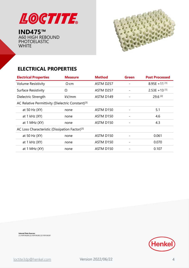

**IND475™** A60 HIGH REBOUND PHOTOELASTIC **WHITE** 



# **ELECTRICAL PROPERTIES**

| <b>Electrical Properties</b>                                  | <b>Measure</b> | <b>Method</b>         | <b>Green</b> | <b>Post Processed</b> |
|---------------------------------------------------------------|----------------|-----------------------|--------------|-----------------------|
| <b>Volume Resistivity</b>                                     | $\Omega$ ·cm   | ASTM D257             |              | $8.95E + 11^{[1]}$    |
| Surface Resistivity                                           | Ω              | ASTM D257             |              | $2.53E + 13^{[1]}$    |
| Dielectric Strength                                           | kV/mm          | ASTM D149             |              | $29.6$ <sup>[2]</sup> |
| AC Relative Permittivity (Dielectric Constant) <sup>[3]</sup> |                |                       |              |                       |
| at 50 Hz (XY)                                                 | none           | ASTM D <sub>150</sub> |              | 5.1                   |
| at $1$ kHz $(XY)$                                             | none           | ASTM D150             |              | 4.6                   |
| at 1 MHz (XY)                                                 | none           | ASTM D150             |              | 4.3                   |
| AC Loss Characteristic (Dissipation Factor) <sup>[3]</sup>    |                |                       |              |                       |
| at 50 Hz (XY)                                                 | none           | ASTM D150             |              | 0.061                 |
| at $1$ kHz $(XY)$                                             | none           | ASTM D150             |              | 0.070                 |
| at $1$ MHz $(XY)$                                             | none           | ASTM D150             |              | 0.107                 |

**Internal Data Sources:** [1] FOR106280 [2] FOR106282 [3] FOR106281

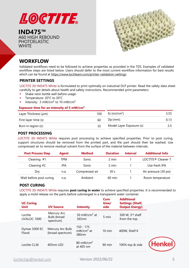

**IND475™** A60 HIGH REBOUND PHOTOELASTIC **WHITE** 



# **WORKFLOW**

Validated workflows need to be followed to achieve properties as provided in the TDS. Examples of validated workflow steps are listed below. Users should defer to the most current workflow information for best results which can be found at <https://www.loctiteam.com/printer-validation-settings>

#### **PRINTER SETTINGS**

LOCTITE 3D IND475 White is formulated to print optimally on industrial DLP printer. Read the safety data sheet carefully to get details about health and safety instructions. Recommended print parameters:

- Shake resin bottle well before usage
- Temperature: 20°C to 30°C
- Intensity:  $3 \text{ mW/cm}^2$  to  $10 \text{ mW/cm}^2$

#### **Exposure time for an intensity of 5 mW/cm²**

| Layer Thickness (µm): | 100 | Ec (mJ/cm <sup>2</sup> )  | 3.55 |
|-----------------------|-----|---------------------------|------|
| First layer time (s)  | 60  | $Dp$ (mm):                | 0.13 |
| Burn in region (s):   | 35  | Model Layer Exposure (s): |      |

#### **POST PROCESSING**

LOCTITE 3D IND475 White requires post processing to achieve specified properties. Prior to post curing, support structures should be removed from the printed part, and the part should then be washed. Use compressed air to remove residual solvent from the surface of the material between intervals.

| <b>Post Process Step</b> | <b>Agent</b> | <b>Method</b>  | <b>Duration</b>  | <b>Interval</b> | <b>Additional Info</b>         |
|--------------------------|--------------|----------------|------------------|-----------------|--------------------------------|
| Cleaning #1              | TPM          | Sonic          | 2 min            |                 | LOCTITE <sup>®</sup> Cleaner T |
| Cleaning $#2$            | IPA          | Sonic          | 2 min            |                 | Use fresh IPA                  |
| Dry                      | n.a.         | Compressed air | 30 <sub>s</sub>  |                 | Air pressure (30 psi)          |
| Wait before post curing  | n.a.         | Ambient        | $60 \text{ min}$ |                 | Room temperature               |

#### **POST CURING**

LOCTITE 3D IND475 White requires **post curing in water** to achieve specified properties. It is recommended to apply a mold release on the parts before submerged in a transparent water container.

| <b>UC Curing</b><br><b>Unit</b> | <b>UV Source</b>                        | <b>Intensity</b>                    | <b>Cure</b><br>time/<br>side | <b>Additional</b><br><b>Settings (Shelf,</b><br><b>Output Energy)</b> |          |
|---------------------------------|-----------------------------------------|-------------------------------------|------------------------------|-----------------------------------------------------------------------|----------|
| Loctite<br>UVALOC 1000          | Mercury Arc<br>Bulb (broad<br>spectrum) | 30 mW/cm <sup>2</sup> at<br>365nm   | 5 min                        | 500 W, 3rd shelf<br>from the top                                      |          |
| Dymax 5000 EC<br>Flood          | Mercury Arc Bulb<br>(broad spectrum)    | $150 - 175$<br>$mW/cm2$ at<br>380nm | $10 \text{ min}$             | 400W, Shelf K                                                         |          |
| Loctite CL36                    | 405nm LED                               | 80 mW/cm <sup>2</sup><br>at 405 nm  | 90 min                       | 100% top & side                                                       | (Henkel) |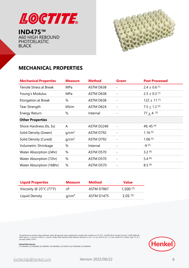

**IND475™** A60 HIGH REBOUND PHOTOELASTIC BLACK



# **MECHANICAL PROPERTIES**

| <b>Mechanical Properties</b>   | <b>Measure</b>    | <b>Method</b>     | <b>Green</b>             | <b>Post Processed</b>        |
|--------------------------------|-------------------|-------------------|--------------------------|------------------------------|
| <b>Tensile Stress at Break</b> | MPa               | ASTM D638         |                          | $2.4 \pm 0.6$ <sup>[1]</sup> |
| Young's Modulus                | MPa               | ASTM D638         |                          | $2.5 \pm 0.3$ [1]            |
| <b>Elongation at Break</b>     | %                 | ASTM D638         | -                        | $122 \pm 11$ [1]             |
| <b>Tear Strength</b>           | kN/m              | ASTM D624         |                          | $7.5 + 1.2$ <sup>[2]</sup>   |
| <b>Energy Return</b>           | %                 | Internal          |                          | $77 + 4$ [3]                 |
| <b>Other Properties</b>        |                   |                   |                          |                              |
| Shore Hardness (0s, 5s)        | A                 | <b>ASTM D2240</b> | $\overline{\phantom{a}}$ | 49, 45 [4]                   |
| Solid Density (Green)          | q/cm <sup>3</sup> | ASTM D792         |                          | $1.16^{[5]}$                 |
| Solid Density (Cured)          | q/cm <sup>3</sup> | ASTM D792         |                          | $1.06$ <sup>[5]</sup>        |
| Volumetric Shrinkage           | %                 | Internal          | $\overline{\phantom{a}}$ | $-9^{[5]}$                   |
| Water Absorption (24hr)        | %                 | ASTM D570         |                          | $3.2^{[6]}$                  |
| Water Absorption (72hr)        | %                 | ASTM D570         |                          | $5.4^{[6]}$                  |
| Water Absorption (168hr)       | %                 | ASTM D570         |                          | $8.5^{[6]}$                  |

| <b>Liquid Properties</b>                     | <b>Measure</b>    | <b>Method</b> | <b>Value</b>           |
|----------------------------------------------|-------------------|---------------|------------------------|
| Viscosity @ $25^{\circ}$ C (77 $^{\circ}$ F) | cP.               | ASTM D7867    | $1,500$ <sup>[7]</sup> |
| Liquid Density                               | q/cm <sup>3</sup> | ASTM D1475    | $1.01$ [5]             |

"All specimen are printed unless otherwise noted. All specimen were conditioned in ambient lab conditions at 19-23°C / 40-60% RH for at least 24 hours." ASTM Methods<br>D638 Type IV, 5 mm/min, D790-B, 2 mm/min, D648, D256 Not



**Internal Data Sources:**<br>[1] FOR40695, [2] FOR40696, [3] FOR40697, [4] FOR40692, [5] FOR35576, [6] FOR29248, [7] FOR40548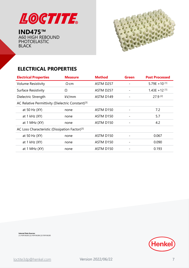

**IND475™** A60 HIGH REBOUND PHOTOELASTIC BLACK



# **ELECTRICAL PROPERTIES**

| <b>Electrical Properties</b>                                  | <b>Measure</b> | <b>Method</b>         | <b>Green</b> | <b>Post Processed</b> |
|---------------------------------------------------------------|----------------|-----------------------|--------------|-----------------------|
| <b>Volume Resistivity</b>                                     | $\Omega$ ·cm   | ASTM D257             |              | 5.79E + 10 $[1]$      |
| Surface Resistivity                                           | Ω              | ASTM D257             |              | $1.43E + 12^{[1]}$    |
| Dielectric Strength                                           | kV/mm          | ASTM D149             |              | 27.9 [2]              |
| AC Relative Permittivity (Dielectric Constant) <sup>[3]</sup> |                |                       |              |                       |
| at 50 Hz (XY)                                                 | none           | ASTM D <sub>150</sub> |              | 7.2                   |
| at $1$ kHz $(XY)$                                             | none           | ASTM D150             |              | 5.7                   |
| at 1 MHz (XY)                                                 | none           | ASTM D150             |              | 4.2                   |
| AC Loss Characteristic (Dissipation Factor) <sup>[3]</sup>    |                |                       |              |                       |
| at 50 Hz (XY)                                                 | none           | ASTM D150             |              | 0.067                 |
| at $1$ kHz $(XY)$                                             | none           | ASTM D150             |              | 0.090                 |
| at $1$ MHz $(XY)$                                             | none           | ASTM D150             |              | 0.193                 |

**Internal Data Sources:** [1] FOR106283 [2] FOR106286 [3] FOR106285

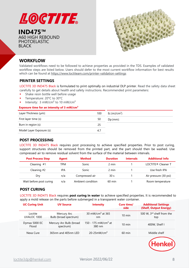

**IND475™** A60 HIGH REBOUND PHOTOELASTIC BLACK



### **WORKFLOW**

Validated workflows need to be followed to achieve properties as provided in the TDS. Examples of validated workflow steps are listed below. Users should defer to the most current workflow information for best results which can be found at <https://www.loctiteam.com/printer-validation-settings>

#### **PRINTER SETTINGS**

LOCTITE 3D IND475 Black is formulated to print optimally on industrial DLP printer. Read the safety data sheet carefully to get details about health and safety instructions. Recommended print parameters:

- Shake resin bottle well before usage
- Temperature: 20°C to 30°C
- Intensity:  $3 \text{ mW/cm}^2$  to  $10 \text{ mW/cm}^2$

#### **Exposure time for an intensity of 3 mW/cm²**

| Layer Thickness (µm):     | 100 | Ec $(mJ/cm2)$ |
|---------------------------|-----|---------------|
| First layer time (s)      | 50  | $Dp$ (mm):    |
| Burn in region (s):       | 25  |               |
| Model Layer Exposure (s): | 4.7 |               |

#### **POST PROCESSING**

LOCTITE 3D IND475 Black requires post processing to achieve specified properties. Prior to post curing, support structures should be removed from the printed part, and the part should then be washed. Use compressed air to remove residual solvent from the surface of the material between intervals.

| <b>Post Process Step</b> | Agent | <b>Method</b>     | <b>Duration</b>  | <b>Intervals</b> | <b>Additional Info</b>         |
|--------------------------|-------|-------------------|------------------|------------------|--------------------------------|
| Cleaning $#1$            | TPM   | Sonic             | 2 min            |                  | LOCTITE <sup>®</sup> Cleaner T |
| Cleaning #2              | IPA   | Sonic             | 2 min            |                  | Use fresh IPA                  |
| Dry                      | n/a   | Compressed air    | 30 <sub>s</sub>  |                  | Air pressure (30 psi)          |
| Wait before post curing  | n/a   | Ambient condition | $60 \text{ min}$ |                  | Room temperature               |

#### **POST CURING**

LOCTITE 3D IND475 Black requires **post curing in water** to achieve specified properties. It is recommended to apply a mold release on the parts before submerged in a transparent water container.

| <b>UC Curing Unit</b>  | <b>UV Source</b>                     | <b>Intensity</b>                          | Cure time/<br>side | <b>Additional Settings</b><br>(Shelf, Output Energy) |
|------------------------|--------------------------------------|-------------------------------------------|--------------------|------------------------------------------------------|
| Loctite<br>UVALOC 1000 | Mercury Arc<br>Bulb (broad spectrum) | 30 mW/cm <sup>2</sup> at 365<br>nm        | $10 \text{ min}$   | 500 W, 3rd shelf from the<br>top                     |
| Dymax 5000 EC<br>Flood | Mercury Arc Bulb (broad<br>spectrum) | 150 - 175 mW/cm <sup>2</sup> at<br>380 nm | $10 \text{ min}$   | 400W, Shelf I                                        |
| Nexa Cure              | 365nm and 405nm LED                  | $20-25$ mW/cm <sup>2</sup>                | $60 \text{ min}$   | Middle shelf                                         |

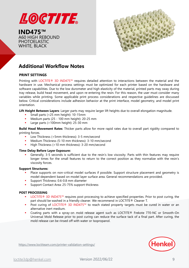

**IND475™** A60 HIGH REBOUND PHOTOELASTIC WHITE, BLACK



# **Additional Workflow Notes**

#### **PRINT SETTINGS**

Printing with LOCTITE® 3D IND475™ requires detailed attention to interactions between the material and the hardware in use. Mechanical process settings must be optimized for each printer based on the hardware and software capabilities. Due to the low durometer and high elasticity of the material, printed parts may sway during tray release, build head movement, and upon re-entering the resin. For this reason, the user must consider many variables while printing. Some applicable print process considerations and respective guidelines are discussed below. Critical considerations include adhesion behavior at the print interface, model geometry, and model print orientation.

**Lift Height Between Layers**: Larger parts may require larger lift heights due to overall elongation magnitude.

- Small parts (<25 mm height): 10-15mm
- Medium parts (25 100 mm height): 20-25 mm
- Large parts (>100mm height): 25-30 mm

**Build Head Movement Rates**: Thicker parts allow for more rapid rates due to overall part rigidity compared to printing forces.

- Low Thickness (<5mm thickness): 3-5 mm/second
- Medium Thickness (5-10 mm thickness): 3-10 mm/second
- High Thickness (>10 mm thickness): 3-20 mm/second

#### **Time Delay Before Layer Exposure:**

Generally, 3-5 seconds is sufficient due to the resin's low viscosity. Parts with thin features may require longer times for the small features to return to the correct position as they normalize with the resin's viscosity forces.

#### **Support Structures:**

- Place supports on non-critical model surfaces if possible. Support structure placement and geometry is model-dependent based on model layer surface area. General recommendations are provided.
- Support Thickness: 0.6-0.8 mm diameter
- Support Contact Area: 25-75% support thickness

#### **POST PROCESSING**

- LOCTITE® 3D IND475<sup>™</sup> requires post processing to achieve specified properties. Prior to post curing, the part should be washed in a friendly cleaner. We recommend in LOCTITE® Cleaner T.
- Post curing of LOCTITE® 3D IND475™ to reach stated property targets must be cured in water or an alternative inert medium.
- Coating parts with a spray-on mold release agent such as LOCTITE® Frekote 770-NC or Smooth-On Universal Mold Release prior to post curing can reduce the surface tack of a final part. After curing, the mold release can be rinsed off with water or Isopropanol.



<https://www.loctiteam.com/printer-validation-settings/>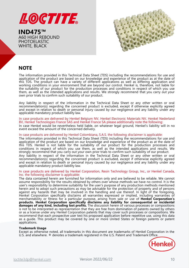

**IND475™** A60 HIGH REBOUND PHOTOELASTIC WHITE, BLACK



## **NOTE**

The information provided in this Technical Data Sheet (TDS) including the recommendations for use and application of the product are based on our knowledge and experience of the product as at the date of this TDS. The product can have a variety of different applications as well as differing application and working conditions in your environment that are beyond our control. Henkel is, therefore, not liable for the suitability of our product for the production processes and conditions in respect of which you use them, as well as the intended applications and results. We strongly recommend that you carry out your own prior trials to confirm such suitability of our product.

Any liability in respect of the information in the Technical Data Sheet or any other written or oral recommendation(s) regarding the concerned product is excluded, except if otherwise explicitly agreed and except in relation to death or personal injury caused by our negligence and any liability under any applicable mandatory product liability law.

In case products are delivered by Henkel Belgium NV, Henkel Electronic Materials NV, Henkel Nederland BV, Henkel Technologies France SAS and Henkel France SA please additionally note the following: In case Henkel would be nevertheless held liable, on whatever legal ground, Henkel's liability will in no event exceed the amount of the concerned delivery.

#### In case products are delivered by Henkel Colombiana, S.A.S. the following disclaimer is applicable:

The information provided in this Technical Data Sheet (TDS) including the recommendations for use and application of the product are based on our knowledge and experience of the product as at the date of this TDS. Henkel is not liable for the suitability of our product for the production processes and conditions in respect of which you use them, as well as the intended applications and results. We strongly recommend that you carry out your own prior trials to confirm such suitability of our product. Any liability in respect of the information in the Technical Data Sheet or any other written or oral

recommendation(s) regarding the concerned product is excluded, except if otherwise explicitly agreed and except in relation to death or personal injury caused by our negligence and any liability under any applicable mandatory product liability law.

#### In case products are delivered by Henkel Corporation, Resin Technology Group, Inc., or Henkel Canada, Inc. the following disclaimer is applicable:

The data contained herein are furnished for information only and are believed to be reliable. We cannot assume responsibility for the results obtained by others over whose methods we have no control. It is the user's responsibility to determine suitability for the user's purpose of any production methods mentioned herein and to adopt such precautions as may be advisable for the protection of property and of persons against any hazards that may be involved in the handling and use thereof. In light of the foregoing, Henkel Corporation specifically disclaims all warranties expressed or implied, including warranties of merchantability or fitness for a particular purpose, arising from sale or use of **Henkel Corporation's products. Henkel Corporation specifically disclaims any liability for consequential or incidental damages of any kind, including lost profits.** The discussion herein of various processes or compositions is not to be interpreted as representation that they are free from domination of patents owned by others or as a license under any Henkel Corporation patents that may cover such processes or compositions. We recommend that each prospective user test his proposed application before repetitive use, using this data as a guide. This product may be covered by one or more United States or foreign patents or patent applications.

#### **Trademark Usage**

Except as otherwise noted, all trademarks in this document are trademarks of Henkel Corporation in the U.S. and elsewhere. ® denotes a trademark registered in the U.S. Patent and Trademark Office.